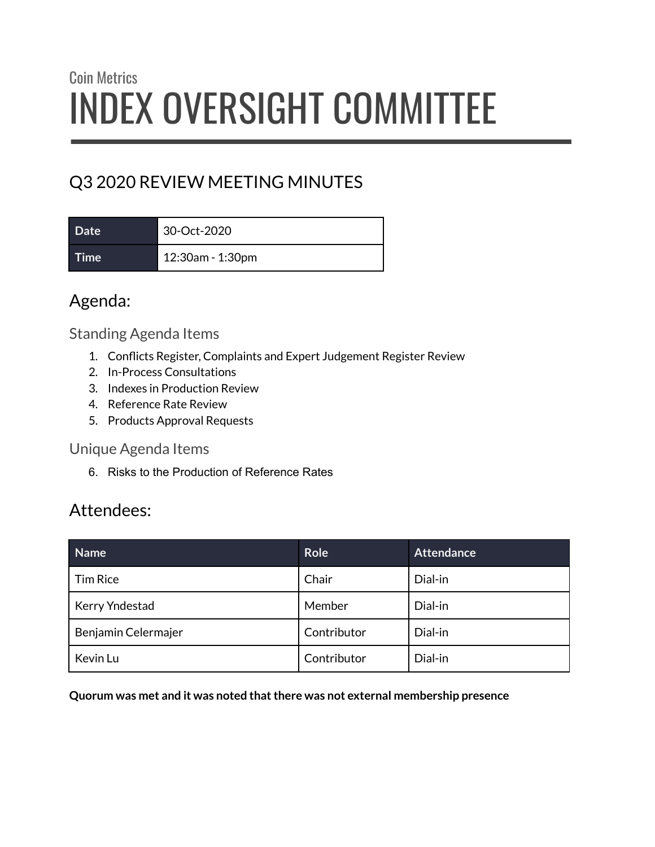# Coin Metrics INDEX OVERSIGHT COMMITTEE

# Q3 2020 REVIEW MEETING MINUTES

**Date** 30-Oct-2020 **Time** 12:30am - 1:30pm

## Agenda:

#### Standing Agenda Items

- 1. Conflicts Register, Complaints and Expert Judgement Register Review
- 2. In-Process Consultations
- 3. Indexes in Production Review
- 4. Reference Rate Review
- 5. Products Approval Requests

#### Unique Agenda Items

6. Risks to the Production of Reference Rates

## Attendees:

| Name                | <b>Role</b> | <b>Attendance</b> |
|---------------------|-------------|-------------------|
| <b>Tim Rice</b>     | Chair       | Dial-in           |
| Kerry Yndestad      | Member      | Dial-in           |
| Benjamin Celermajer | Contributor | Dial-in           |
| Kevin Lu            | Contributor | Dial-in           |

**Quorum was met and it was noted thatthere was not external membership presence**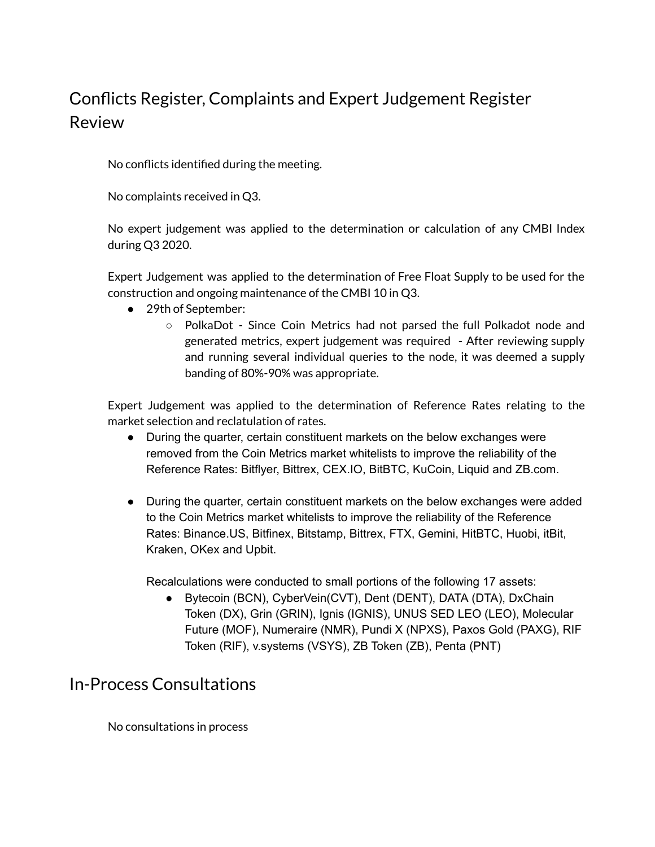# Conflicts Register, Complaints and Expert Judgement Register Review

No conflicts identified during the meeting.

No complaints received in Q3.

No expert judgement was applied to the determination or calculation of any CMBI Index during Q3 2020.

Expert Judgement was applied to the determination of Free Float Supply to be used for the construction and ongoing maintenance of the CMBI 10 in Q3.

- 29th of September:
	- PolkaDot Since Coin Metrics had not parsed the full Polkadot node and generated metrics, expert judgement was required - After reviewing supply and running several individual queries to the node, it was deemed a supply banding of 80%-90% was appropriate.

Expert Judgement was applied to the determination of Reference Rates relating to the market selection and reclatulation of rates.

- During the quarter, certain constituent markets on the below exchanges were removed from the Coin Metrics market whitelists to improve the reliability of the Reference Rates: Bitflyer, Bittrex, CEX.IO, BitBTC, KuCoin, Liquid and ZB.com.
- During the quarter, certain constituent markets on the below exchanges were added to the Coin Metrics market whitelists to improve the reliability of the Reference Rates: Binance.US, Bitfinex, Bitstamp, Bittrex, FTX, Gemini, HitBTC, Huobi, itBit, Kraken, OKex and Upbit.

Recalculations were conducted to small portions of the following 17 assets:

● Bytecoin (BCN), CyberVein(CVT), Dent (DENT), DATA (DTA), DxChain Token (DX), Grin (GRIN), Ignis (IGNIS), UNUS SED LEO (LEO), Molecular Future (MOF), Numeraire (NMR), Pundi X (NPXS), Paxos Gold (PAXG), RIF Token (RIF), v.systems (VSYS), ZB Token (ZB), Penta (PNT)

### In-Process Consultations

No consultations in process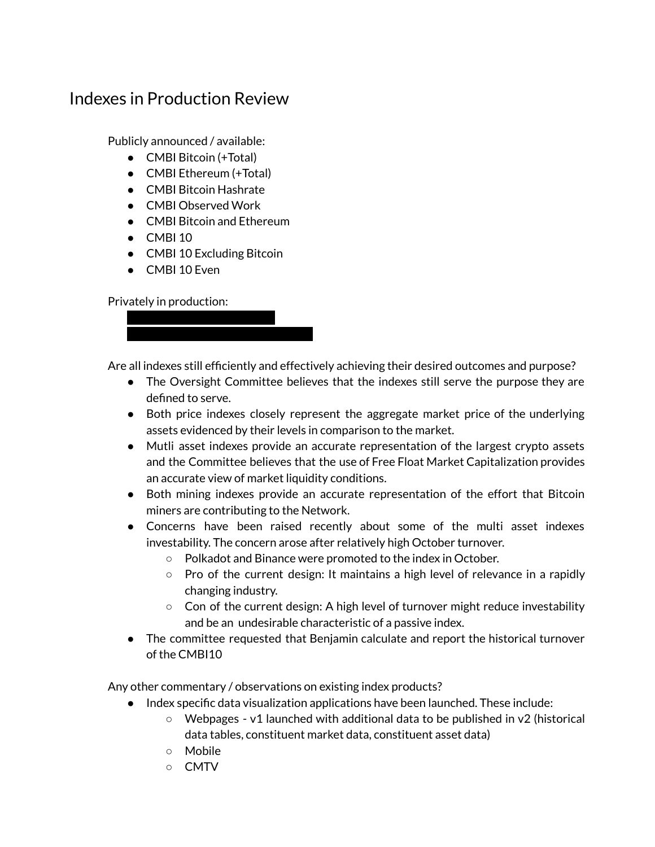### Indexes in Production Review

Publicly announced / available:

- CMBI Bitcoin (+Total)
- CMBI Ethereum (+Total)
- CMBI Bitcoin Hashrate
- CMBI Observed Work
- CMBI Bitcoin and Ethereum
- $\bullet$  CMBI 10
- CMBI 10 Excluding Bitcoin
- CMBI 10 Even

Privately in production:

● XXXXXXXXXXXXXXXXX ● XXXXXXXXXXXXXXXXXXXXXX

Are all indexes still efficiently and effectively achieving their desired outcomes and purpose?

- The Oversight Committee believes that the indexes still serve the purpose they are defined to serve.
- Both price indexes closely represent the aggregate market price of the underlying assets evidenced by their levels in comparison to the market.
- Mutli asset indexes provide an accurate representation of the largest crypto assets and the Committee believes that the use of Free Float Market Capitalization provides an accurate view of market liquidity conditions.
- Both mining indexes provide an accurate representation of the effort that Bitcoin miners are contributing to the Network.
- Concerns have been raised recently about some of the multi asset indexes investability. The concern arose after relatively high October turnover.
	- Polkadot and Binance were promoted to the index in October.
	- $\circ$  Pro of the current design: It maintains a high level of relevance in a rapidly changing industry.
	- $\circ$  Con of the current design: A high level of turnover might reduce investability and be an undesirable characteristic of a passive index.
- The committee requested that Benjamin calculate and report the historical turnover of the CMBI10

Any other commentary / observations on existing index products?

- Index specific data visualization applications have been launched. These include:
	- $\circ$  Webpages v1 launched with additional data to be published in v2 (historical data tables, constituent market data, constituent asset data)
	- Mobile
	- CMTV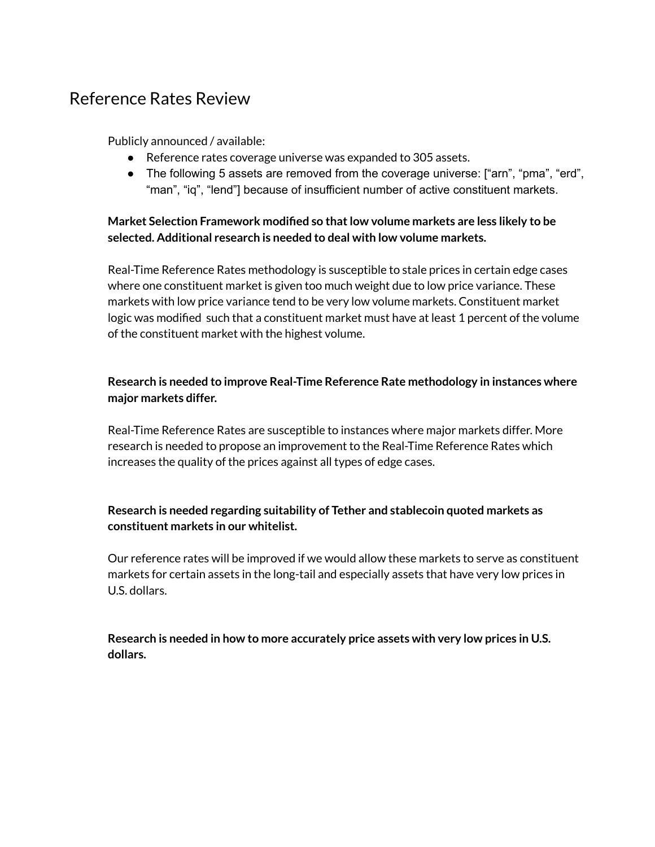### Reference Rates Review

Publicly announced / available:

- Reference rates coverage universe was expanded to 305 assets.
- The following 5 assets are removed from the coverage universe: ["arn", "pma", "erd", "man", "iq", "lend"] because of insufficient number of active constituent markets.

#### **Market Selection Framework modified so thatlow volume markets are less likely to be selected. Additional research is needed to deal with low volume markets.**

Real-Time Reference Rates methodology is susceptible to stale prices in certain edge cases where one constituent market is given too much weight due to low price variance. These markets with low price variance tend to be very low volume markets. Constituent market logic was modified such that a constituent market must have at least 1 percent of the volume of the constituent market with the highest volume.

#### **Research is needed to improve Real-Time Reference Rate methodology in instances where major markets differ.**

Real-Time Reference Rates are susceptible to instances where major markets differ. More research is needed to propose an improvement to the Real-Time Reference Rates which increases the quality of the prices against all types of edge cases.

#### **Research is needed regarding suitability of Tether and stablecoin quoted markets as constituent markets in our whitelist.**

Our reference rates will be improved if we would allow these markets to serve as constituent markets for certain assets in the long-tail and especially assets that have very low prices in U.S. dollars.

**Research is needed in how to more accurately price assets with very low prices in U.S. dollars.**